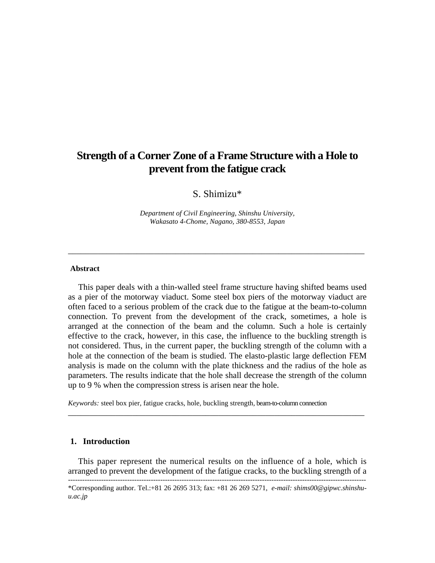# **Strength of a Corner Zone of a Frame Structure with a Hole to prevent from the fatigue crack**

# S. Shimizu\*

*Department of Civil Engineering, Shinshu University, Wakasato 4-Chome, Nagano, 380-8553, Japan* 

\_\_\_\_\_\_\_\_\_\_\_\_\_\_\_\_\_\_\_\_\_\_\_\_\_\_\_\_\_\_\_\_\_\_\_\_\_\_\_\_\_\_\_\_\_\_\_\_\_\_\_\_\_\_\_\_\_\_\_\_\_\_\_\_\_\_\_\_\_

#### **Abstract**

This paper deals with a thin-walled steel frame structure having shifted beams used as a pier of the motorway viaduct. Some steel box piers of the motorway viaduct are often faced to a serious problem of the crack due to the fatigue at the beam-to-column connection. To prevent from the development of the crack, sometimes, a hole is arranged at the connection of the beam and the column. Such a hole is certainly effective to the crack, however, in this case, the influence to the buckling strength is not considered. Thus, in the current paper, the buckling strength of the column with a hole at the connection of the beam is studied. The elasto-plastic large deflection FEM analysis is made on the column with the plate thickness and the radius of the hole as parameters. The results indicate that the hole shall decrease the strength of the column up to 9 % when the compression stress is arisen near the hole.

*Keywords:* steel box pier, fatigue cracks, hole, buckling strength, beam-to-column connection

# **1. Introduction**

This paper represent the numerical results on the influence of a hole, which is arranged to prevent the development of the fatigue cracks, to the buckling strength of a

\_\_\_\_\_\_\_\_\_\_\_\_\_\_\_\_\_\_\_\_\_\_\_\_\_\_\_\_\_\_\_\_\_\_\_\_\_\_\_\_\_\_\_\_\_\_\_\_\_\_\_\_\_\_\_\_\_\_\_\_\_\_\_\_\_\_\_\_\_

<sup>\*</sup>Corresponding author. Tel.:+81 26 2695 313; fax: +81 26 269 5271, *e-mail: shims00@gipwc.shinshuu.ac.jp*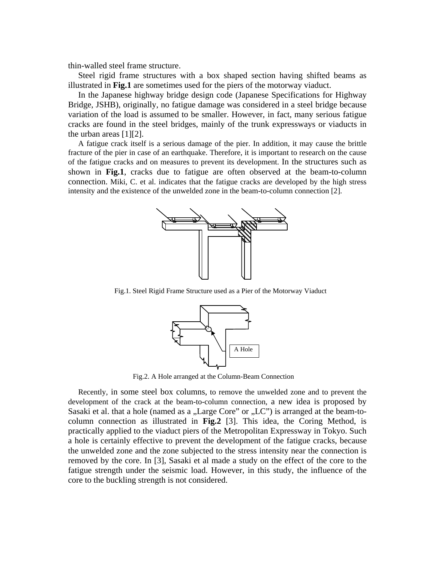thin-walled steel frame structure.

Steel rigid frame structures with a box shaped section having shifted beams as illustrated in **Fig.1** are sometimes used for the piers of the motorway viaduct.

In the Japanese highway bridge design code (Japanese Specifications for Highway Bridge, JSHB), originally, no fatigue damage was considered in a steel bridge because variation of the load is assumed to be smaller. However, in fact, many serious fatigue cracks are found in the steel bridges, mainly of the trunk expressways or viaducts in the urban areas [1][2].

A fatigue crack itself is a serious damage of the pier. In addition, it may cause the brittle fracture of the pier in case of an earthquake. Therefore, it is important to research on the cause of the fatigue cracks and on measures to prevent its development. In the structures such as shown in **Fig.1**, cracks due to fatigue are often observed at the beam-to-column connection. Miki, C. et al. indicates that the fatigue cracks are developed by the high stress intensity and the existence of the unwelded zone in the beam-to-column connection [2].



Fig.1. Steel Rigid Frame Structure used as a Pier of the Motorway Viaduct



Fig.2. A Hole arranged at the Column-Beam Connection

Recently, in some steel box columns, to remove the unwelded zone and to prevent the development of the crack at the beam-to-column connection, a new idea is proposed by Sasaki et al. that a hole (named as a  $\mu$ Large Core" or  $\mu$ LC") is arranged at the beam-tocolumn connection as illustrated in **Fig.2** [3]. This idea, the Coring Method, is practically applied to the viaduct piers of the Metropolitan Expressway in Tokyo. Such a hole is certainly effective to prevent the development of the fatigue cracks, because the unwelded zone and the zone subjected to the stress intensity near the connection is removed by the core. In [3], Sasaki et al made a study on the effect of the core to the fatigue strength under the seismic load. However, in this study, the influence of the core to the buckling strength is not considered.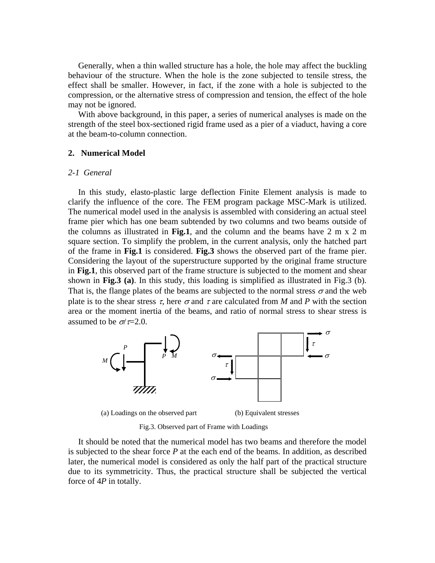Generally, when a thin walled structure has a hole, the hole may affect the buckling behaviour of the structure. When the hole is the zone subjected to tensile stress, the effect shall be smaller. However, in fact, if the zone with a hole is subjected to the compression, or the alternative stress of compression and tension, the effect of the hole may not be ignored.

With above background, in this paper, a series of numerical analyses is made on the strength of the steel box-sectioned rigid frame used as a pier of a viaduct, having a core at the beam-to-column connection.

# **2. Numerical Model**

# *2-1 General*

In this study, elasto-plastic large deflection Finite Element analysis is made to clarify the influence of the core. The FEM program package MSC-Mark is utilized. The numerical model used in the analysis is assembled with considering an actual steel frame pier which has one beam subtended by two columns and two beams outside of the columns as illustrated in **Fig.1**, and the column and the beams have 2 m x 2 m square section. To simplify the problem, in the current analysis, only the hatched part of the frame in **Fig.1** is considered. **Fig.3** shows the observed part of the frame pier. Considering the layout of the superstructure supported by the original frame structure in **Fig.1**, this observed part of the frame structure is subjected to the moment and shear shown in **Fig.3 (a)**. In this study, this loading is simplified as illustrated in Fig.3 (b). That is, the flange plates of the beams are subjected to the normal stress  $\sigma$  and the web plate is to the shear stress  $\tau$ , here  $\sigma$  and  $\tau$  are calculated from *M* and *P* with the section area or the moment inertia of the beams, and ratio of normal stress to shear stress is assumed to be  $\sigma$ / $\tau$ =2.0.



Fig.3. Observed part of Frame with Loadings

It should be noted that the numerical model has two beams and therefore the model is subjected to the shear force *P* at the each end of the beams. In addition, as described later, the numerical model is considered as only the half part of the practical structure due to its symmetricity. Thus, the practical structure shall be subjected the vertical force of 4*P* in totally.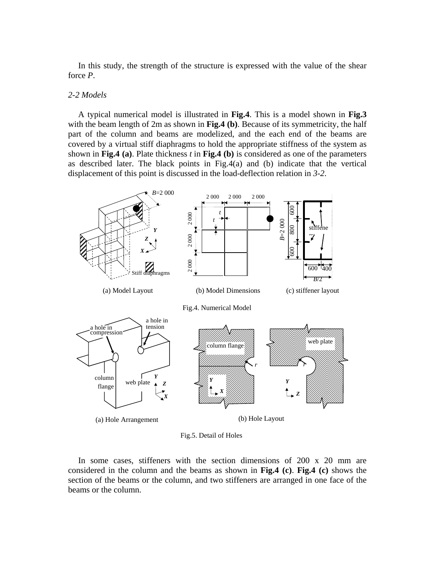In this study, the strength of the structure is expressed with the value of the shear force *P*.

# *2-2 Models*

A typical numerical model is illustrated in **Fig.4**. This is a model shown in **Fig.3** with the beam length of 2m as shown in **Fig.4 (b)**. Because of its symmetricity, the half part of the column and beams are modelized, and the each end of the beams are covered by a virtual stiff diaphragms to hold the appropriate stiffness of the system as shown in **Fig.4 (a)**. Plate thickness *t* in **Fig.4 (b)** is considered as one of the parameters as described later. The black points in Fig.4(a) and (b) indicate that the vertical displacement of this point is discussed in the load-deflection relation in *3-2*.



Fig.5. Detail of Holes

In some cases, stiffeners with the section dimensions of 200 x 20 mm are considered in the column and the beams as shown in **Fig.4 (c)**. **Fig.4 (c)** shows the section of the beams or the column, and two stiffeners are arranged in one face of the beams or the column.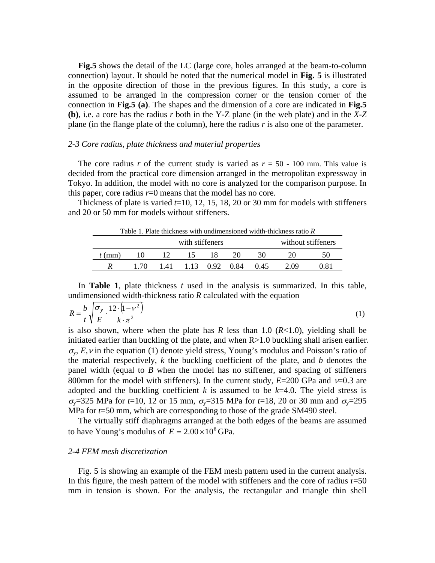**Fig.5** shows the detail of the LC (large core, holes arranged at the beam-to-column connection) layout. It should be noted that the numerical model in **Fig. 5** is illustrated in the opposite direction of those in the previous figures. In this study, a core is assumed to be arranged in the compression corner or the tension corner of the connection in **Fig.5 (a)**. The shapes and the dimension of a core are indicated in **Fig.5 (b)**, i.e. a core has the radius *r* both in the Y-Z plane (in the web plate) and in the *X*-*Z* plane (in the flange plate of the column), here the radius *r* is also one of the parameter.

#### *2-3 Core radius, plate thickness and material properties*

The core radius *r* of the current study is varied as  $r = 50 - 100$  mm. This value is decided from the practical core dimension arranged in the metropolitan expressway in Tokyo. In addition, the model with no core is analyzed for the comparison purpose. In this paper, core radius  $r=0$  means that the model has no core.

Thickness of plate is varied  $t=10$ , 12, 15, 18, 20 or 30 mm for models with stiffeners and 20 or 50 mm for models without stiffeners.

| Table 1. Plate thickness with undimensioned width-thickness ratio $\overline{R}$ |      |                 |                 |    |    |                    |      |      |
|----------------------------------------------------------------------------------|------|-----------------|-----------------|----|----|--------------------|------|------|
| with stiffeners                                                                  |      |                 |                 |    |    | without stiffeners |      |      |
| $t$ (mm)                                                                         | 10   | -12             | $\overline{15}$ | 18 | 20 | 30                 | 20   |      |
|                                                                                  | 1.70 | 141 113 092 084 |                 |    |    | 0.45               | 2.09 | 0.81 |

In **Table 1**, plate thickness *t* used in the analysis is summarized. In this table, undimensioned width-thickness ratio *R* calculated with the equation

$$
R = \frac{b}{t} \sqrt{\frac{\sigma_y}{E} \cdot \frac{12 \cdot (1 - \nu^2)}{k \cdot \pi^2}}
$$
 (1)

is also shown, where when the plate has  $R$  less than 1.0 ( $R<1.0$ ), yielding shall be initiated earlier than buckling of the plate, and when R>1.0 buckling shall arisen earlier.  $\sigma_{v}$ , *E*, *v* in the equation (1) denote yield stress, Young's modulus and Poisson's ratio of the material respectively, *k* the buckling coefficient of the plate, and *b* denotes the panel width (equal to *B* when the model has no stiffener, and spacing of stiffeners 800mm for the model with stiffeners). In the current study,  $E=200$  GPa and  $v=0.3$  are adopted and the buckling coefficient  $k$  is assumed to be  $k=4.0$ . The yield stress is σ<sub>y</sub>=325 MPa for *t*=10, 12 or 15 mm, σ<sub>y</sub>=315 MPa for *t*=18, 20 or 30 mm and σ<sub>y</sub>=295 MPa for *t*=50 mm, which are corresponding to those of the grade SM490 steel.

The virtually stiff diaphragms arranged at the both edges of the beams are assumed to have Young's modulus of  $E = 2.00 \times 10^8$  GPa.

## *2-4 FEM mesh discretization*

Fig. 5 is showing an example of the FEM mesh pattern used in the current analysis. In this figure, the mesh pattern of the model with stiffeners and the core of radius  $r=50$ mm in tension is shown. For the analysis, the rectangular and triangle thin shell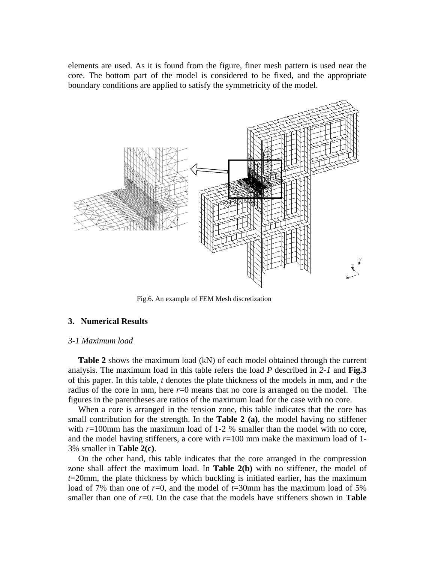elements are used. As it is found from the figure, finer mesh pattern is used near the core. The bottom part of the model is considered to be fixed, and the appropriate boundary conditions are applied to satisfy the symmetricity of the model.



Fig.6. An example of FEM Mesh discretization

#### **3. Numerical Results**

#### *3-1 Maximum load*

Table 2 shows the maximum load (kN) of each model obtained through the current analysis. The maximum load in this table refers the load *P* described in *2-1* and **Fig.3**  of this paper. In this table, *t* denotes the plate thickness of the models in mm, and *r* the radius of the core in mm, here  $r=0$  means that no core is arranged on the model. The figures in the parentheses are ratios of the maximum load for the case with no core.

When a core is arranged in the tension zone, this table indicates that the core has small contribution for the strength. In the **Table 2 (a)**, the model having no stiffener with  $r=100$ mm has the maximum load of 1-2 % smaller than the model with no core, and the model having stiffeners, a core with  $r=100$  mm make the maximum load of 1-3% smaller in **Table 2(c)**.

On the other hand, this table indicates that the core arranged in the compression zone shall affect the maximum load. In **Table 2(b)** with no stiffener, the model of *t*=20mm, the plate thickness by which buckling is initiated earlier, has the maximum load of 7% than one of *r*=0, and the model of *t*=30mm has the maximum load of 5% smaller than one of  $r=0$ . On the case that the models have stiffeners shown in **Table**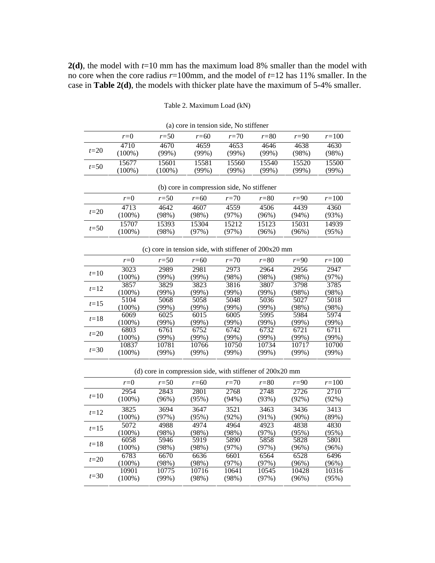**2(d)**, the model with *t*=10 mm has the maximum load 8% smaller than the model with no core when the core radius *r*=100mm, and the model of *t*=12 has 11% smaller. In the case in **Table 2(d)**, the models with thicker plate have the maximum of 5-4% smaller.

Table 2. Maximum Load (kN)

| (a) core in tension side, two surferier                   |           |           |          |          |          |          |           |  |  |  |
|-----------------------------------------------------------|-----------|-----------|----------|----------|----------|----------|-----------|--|--|--|
|                                                           | $r=0$     | $r=50$    | $r = 60$ | $r=70$   | $r = 80$ | $r=90$   | $r = 100$ |  |  |  |
|                                                           | 4710      | 4670      | 4659     | 4653     | 4646     | 4638     | 4630      |  |  |  |
| $t=20$<br>$t = 50$                                        | $(100\%)$ | (99%)     | (99%)    | (99%)    | (99%)    | (98%)    | (98%)     |  |  |  |
|                                                           | 15677     | 15601     | 15581    | 15560    | 15540    | 15520    | 15500     |  |  |  |
|                                                           | $(100\%)$ | $(100\%)$ | (99%)    | (99%)    | (99%)    | (99%)    | (99%)     |  |  |  |
|                                                           |           |           |          |          |          |          |           |  |  |  |
| (b) core in compression side, No stiffener                |           |           |          |          |          |          |           |  |  |  |
|                                                           | $r = 0$   | $r = 50$  | $r = 60$ | $r=70$   | $r = 80$ | $r=90$   | $r = 100$ |  |  |  |
| $t=20$                                                    | 4713      | 4642      | 4607     | 4559     | 4506     | 4439     | 4360      |  |  |  |
|                                                           | $(100\%)$ | (98%)     | (98%)    | (97%)    | (96%)    | (94%)    | (93%)     |  |  |  |
|                                                           | 15707     | 15393     | 15304    | 15212    | 15123    | 15031    | 14939     |  |  |  |
| $t=50$                                                    | $(100\%)$ | (98%)     | (97%)    | (97%)    | (96%)    | (96%)    | (95%)     |  |  |  |
|                                                           |           |           |          |          |          |          |           |  |  |  |
| (c) core in tension side, with stiffener of $200x20$ mm   |           |           |          |          |          |          |           |  |  |  |
|                                                           | $r = 0$   | $r = 50$  | $r = 60$ | $r=70$   | $r = 80$ | $r=90$   | $r = 100$ |  |  |  |
|                                                           | 3023      | 2989      | 2981     | 2973     | 2964     | 2956     | 2947      |  |  |  |
| $t=10$                                                    | $(100\%)$ | (99%)     | (99%)    | (98%)    | (98%)    | (98%)    | (97%)     |  |  |  |
|                                                           | 3857      | 3829      | 3823     | 3816     | 3807     | 3798     | 3785      |  |  |  |
| $t = 12$                                                  | $(100\%)$ | (99%)     | (99%)    | (99%)    | (99%)    | (98%)    | (98%)     |  |  |  |
|                                                           | 5104      | 5068      | 5058     | 5048     | 5036     | 5027     | 5018      |  |  |  |
| $t = 15$                                                  | $(100\%)$ | (99%)     | (99%)    | (99%)    | (99%)    | (98%)    | (98%)     |  |  |  |
| $t=18$                                                    | 6069      | 6025      | 6015     | 6005     | 5995     | 5984     | 5974      |  |  |  |
|                                                           | $(100\%)$ | (99%)     | (99%)    | (99%)    | (99%)    | (99%)    | (99%)     |  |  |  |
| $t=20$                                                    | 6803      | 6761      | 6752     | 6742     | 6732     | 6721     | 6711      |  |  |  |
|                                                           | $(100\%)$ | (99%)     | (99%)    | (99%)    | (99%)    | (99%)    | (99%)     |  |  |  |
| $t = 30$                                                  | 10837     | 10781     | 10766    | 10750    | 10734    | 10717    | 10700     |  |  |  |
|                                                           | $(100\%)$ | (99%)     | (99%)    | (99%)    | (99%)    | (99%)    | (99%)     |  |  |  |
|                                                           |           |           |          |          |          |          |           |  |  |  |
| (d) core in compression side, with stiffener of 200x20 mm |           |           |          |          |          |          |           |  |  |  |
|                                                           | $r = 0$   | $r = 50$  | $r = 60$ | $r = 70$ | $r = 80$ | $r=90$   | $r = 100$ |  |  |  |
| $t=10$                                                    | 2954      | 2843      | 2801     | 2768     | 2748     | 2726     | 2710      |  |  |  |
|                                                           | $(100\%)$ | (96%)     | (95%)    | (94%)    | (93%)    | $(92\%)$ | (92%)     |  |  |  |
| $t = 12$                                                  | 3825      | 3694      | 3647     | 3521     | 3463     | 3436     | 3413      |  |  |  |
|                                                           | $(100\%)$ | (97%)     | (95%)    | (92%)    | (91%)    | (90%)    | (89%)     |  |  |  |
| $t = 15$                                                  | 5072      | 4988      | 4974     | 4964     | 4923     | 4838     | 4830      |  |  |  |
|                                                           | $(100\%)$ | (98%)     | (98%)    | (98%)    | (97%)    | (95%)    | (95%)     |  |  |  |

(a) core in tension side, No stiffener

| $t = 10$ | (100%)    | (96%) | (95%) | (94%)    | $(93\%)$ | (92%)    | (92%)    |
|----------|-----------|-------|-------|----------|----------|----------|----------|
| $t=12$   | 3825      | 3694  | 3647  | 3521     | 3463     | 3436     | 3413     |
|          | $(100\%)$ | (97%) | (95%) | $(92\%)$ | $(91\%)$ | $(90\%)$ | (89%)    |
| $t = 15$ | 5072      | 4988  | 4974  | 4964     | 4923     | 4838     | 4830     |
|          | $(100\%)$ | 98%)  | (98%) | (98%)    | (97%)    | (95%)    | (95%)    |
| $t=18$   | 6058      | 5946  | 5919  | 5890     | 5858     | 5828     | 5801     |
|          | $(100\%)$ | (98%) | (98%) | (97%)    | (97%)    | $(96\%)$ | $(96\%)$ |
| $t=20$   | 6783      | 6670  | 6636  | 6601     | 6564     | 6528     | 6496     |
|          | $(100\%)$ | 98%)  | (98%) | (97%)    | (97%)    | $(96\%)$ | (96%)    |
|          | 10901     | 10775 | 10716 | 10641    | 10545    | 10428    | 10316    |
| $t = 30$ | $(100\%)$ | (99%) | (98%) | (98%)    | (97%)    | (96%)    | (95%)    |
|          |           |       |       |          |          |          |          |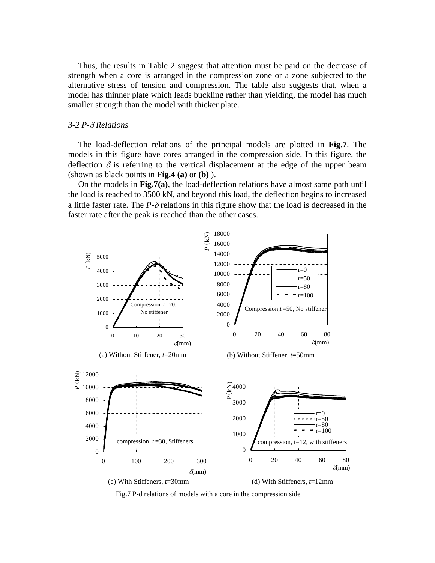Thus, the results in Table 2 suggest that attention must be paid on the decrease of strength when a core is arranged in the compression zone or a zone subjected to the alternative stress of tension and compression. The table also suggests that, when a model has thinner plate which leads buckling rather than yielding, the model has much smaller strength than the model with thicker plate.

## *3-2 P-*δ *Relations*

The load-deflection relations of the principal models are plotted in **Fig.7**. The models in this figure have cores arranged in the compression side. In this figure, the deflection  $\delta$  is referring to the vertical displacement at the edge of the upper beam (shown as black points in **Fig.4 (a)** or **(b)** ).

On the models in **Fig.7(a)**, the load-deflection relations have almost same path until the load is reached to 3500 kN, and beyond this load, the deflection begins to increased a little faster rate. The  $P-\delta$  relations in this figure show that the load is decreased in the faster rate after the peak is reached than the other cases.



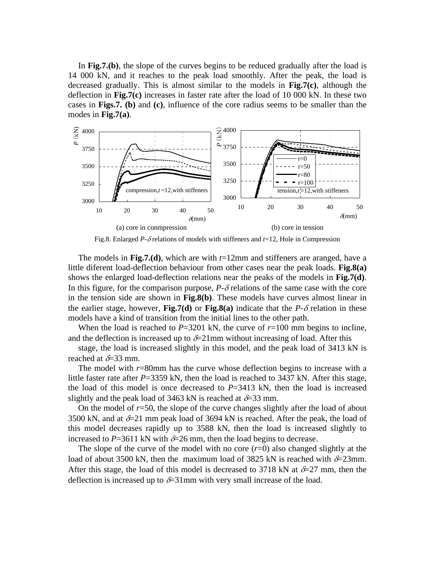In **Fig.7.(b)**, the slope of the curves begins to be reduced gradually after the load is 14 000 kN, and it reaches to the peak load smoothly. After the peak, the load is decreased gradually. This is almost similar to the models in **Fig.7(c)**, although the deflection in **Fig.7(c)** increases in faster rate after the load of 10 000 kN. In these two cases in **Figs.7. (b)** and **(c)**, influence of the core radius seems to be smaller than the modes in **Fig.7(a)**.



Fig.8. Enlarged *P*-δ relations of models with stiffeners and *t*=12, Hole in Compression

The models in **Fig.7.(d)**, which are with *t*=12mm and stiffeners are aranged, have a little diferent load-deflection behaviour from other cases near the peak loads. **Fig.8(a)** shows the enlarged load-deflection relations near the peaks of the models in **Fig.7(d)**. In this figure, for the comparison purpose,  $P-\delta$  relations of the same case with the core in the tension side are shown in **Fig.8(b)**. These models have curves almost linear in the earlier stage, however, **Fig.7(d)** or **Fig.8(a)** indicate that the  $P-\delta$  relation in these models have a kind of transition from the initial lines to the other path.

When the load is reached to  $P=3201$  kN, the curve of  $r=100$  mm begins to incline, and the deflection is increased up to  $\delta=21$  mm without increasing of load. After this

stage, the load is increased slightly in this model, and the peak load of 3413 kN is reached at  $>33$  mm.

The model with *r*=80mm has the curve whose deflection begins to increase with a little faster rate after  $P=3359$  kN, then the load is reached to  $3437$  kN. After this stage, the load of this model is once decreased to  $P=3413$  kN, then the load is increased slightly and the peak load of 3463 kN is reached at  $\delta$ =33 mm.

On the model of *r*=50, the slope of the curve changes slightly after the load of about 3500 kN, and at  $\&$  21 mm peak load of 3694 kN is reached. After the peak, the load of this model decreases rapidly up to 3588 kN, then the load is increased slightly to increased to  $P=3611$  kN with  $\&=26$  mm, then the load begins to decrease.

The slope of the curve of the model with no core (*r*=0) also changed slightly at the load of about 3500 kN, then the maximum load of 3825 kN is reached with  $\&=$  23mm. After this stage, the load of this model is decreased to 3718 kN at  $\delta=27$  mm, then the deflection is increased up to  $\&{\circ}$  31mm with very small increase of the load.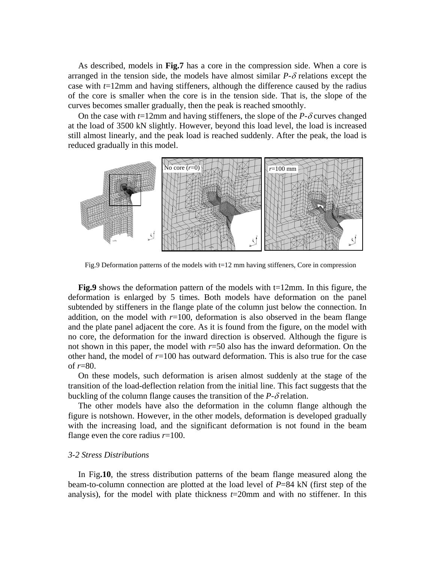As described, models in **Fig.7** has a core in the compression side. When a core is arranged in the tension side, the models have almost similar *P*-δ relations except the case with *t*=12mm and having stiffeners, although the difference caused by the radius of the core is smaller when the core is in the tension side. That is, the slope of the curves becomes smaller gradually, then the peak is reached smoothly.

On the case with  $t=12$ mm and having stiffeners, the slope of the *P*- $\delta$  curves changed at the load of 3500 kN slightly. However, beyond this load level, the load is increased still almost linearly, and the peak load is reached suddenly. After the peak, the load is reduced gradually in this model.



Fig.9 Deformation patterns of the models with t=12 mm having stiffeners, Core in compression

**Fig.9** shows the deformation pattern of the models with t=12mm. In this figure, the deformation is enlarged by 5 times. Both models have deformation on the panel subtended by stiffeners in the flange plate of the column just below the connection. In addition, on the model with  $r=100$ , deformation is also observed in the beam flange and the plate panel adjacent the core. As it is found from the figure, on the model with no core, the deformation for the inward direction is observed. Although the figure is not shown in this paper, the model with *r*=50 also has the inward deformation. On the other hand, the model of  $r=100$  has outward deformation. This is also true for the case of *r*=80.

On these models, such deformation is arisen almost suddenly at the stage of the transition of the load-deflection relation from the initial line. This fact suggests that the buckling of the column flange causes the transition of the  $P-\delta$  relation.

The other models have also the deformation in the column flange although the figure is notshown. However, in the other models, deformation is developed gradually with the increasing load, and the significant deformation is not found in the beam flange even the core radius *r*=100.

## *3-2 Stress Distributions*

In Fig**.10**, the stress distribution patterns of the beam flange measured along the beam-to-column connection are plotted at the load level of *P*=84 kN (first step of the analysis), for the model with plate thickness *t*=20mm and with no stiffener. In this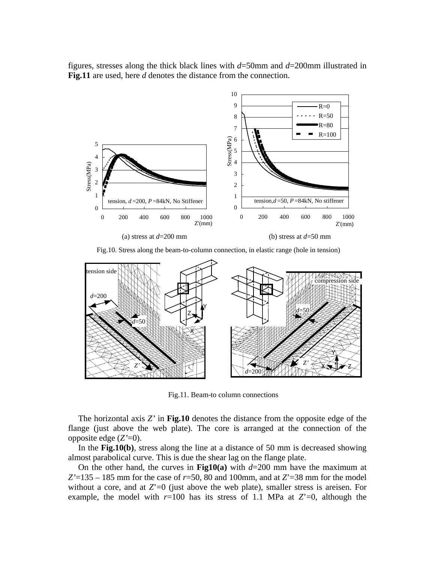figures, stresses along the thick black lines with *d*=50mm and *d*=200mm illustrated in **Fig.11** are used, here *d* denotes the distance from the connection.



Fig.10. Stress along the beam-to-column connection, in elastic range (hole in tension)



Fig.11. Beam-to column connections

The horizontal axis *Z'* in **Fig.10** denotes the distance from the opposite edge of the flange (just above the web plate). The core is arranged at the connection of the opposite edge (*Z'*=0).

In the **Fig.10(b)**, stress along the line at a distance of 50 mm is decreased showing almost parabolical curve. This is due the shear lag on the flange plate.

On the other hand, the curves in **Fig10(a)** with *d*=200 mm have the maximum at  $Z'=135-185$  mm for the case of  $r=50$ , 80 and 100mm, and at  $Z'=38$  mm for the model without a core, and at  $Z=0$  (just above the web plate), smaller stress is areisen. For example, the model with  $r=100$  has its stress of 1.1 MPa at  $Z=0$ , although the